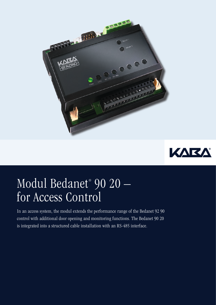



## Modul Bedanet® 90 20 – for Access Control

In an access system, the modul extends the performance range of the Bedanet 92 90 control with additional door opening and monitoring functions. The Bedanet 90 20 is integrated into a structured cable installation with an RS-485 interface.